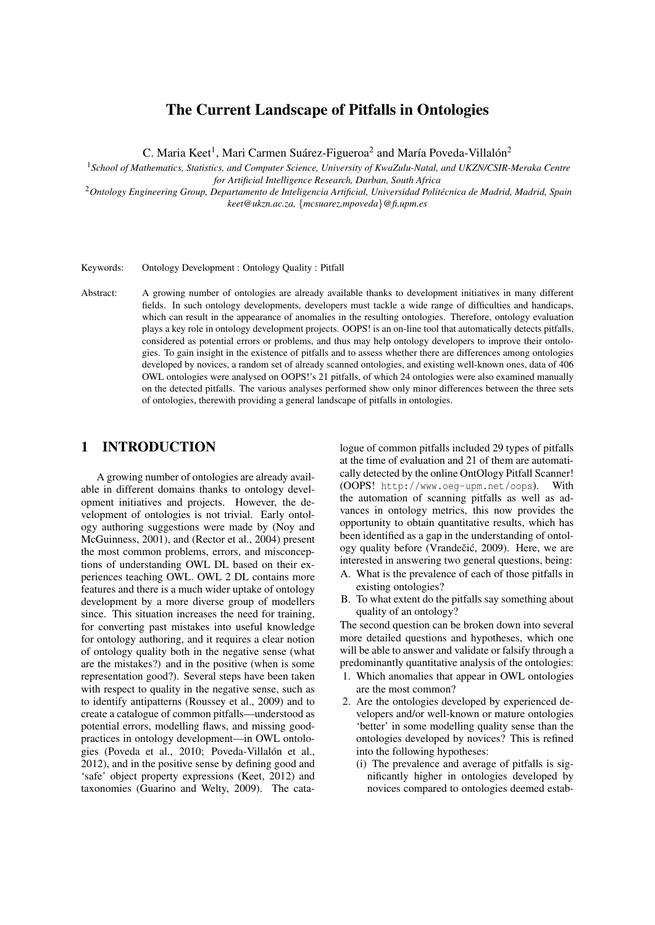# The Current Landscape of Pitfalls in Ontologies

C. Maria Keet<sup>1</sup>, Mari Carmen Suárez-Figueroa<sup>2</sup> and María Poveda-Villalón<sup>2</sup>

<sup>1</sup>*School of Mathematics, Statistics, and Computer Science, University of KwaZulu-Natal, and UKZN/CSIR-Meraka Centre for Artificial Intelligence Research, Durban, South Africa*

<sup>2</sup>*Ontology Engineering Group, Departamento de Inteligencia Artificial, Universidad Politecnica de Madrid, Madrid, Spain ´ keet@ukzn.ac.za,* {*mcsuarez,mpoveda*}*@fi.upm.es*

Keywords: Ontology Development : Ontology Quality : Pitfall

Abstract: A growing number of ontologies are already available thanks to development initiatives in many different fields. In such ontology developments, developers must tackle a wide range of difficulties and handicaps, which can result in the appearance of anomalies in the resulting ontologies. Therefore, ontology evaluation plays a key role in ontology development projects. OOPS! is an on-line tool that automatically detects pitfalls, considered as potential errors or problems, and thus may help ontology developers to improve their ontologies. To gain insight in the existence of pitfalls and to assess whether there are differences among ontologies developed by novices, a random set of already scanned ontologies, and existing well-known ones, data of 406 OWL ontologies were analysed on OOPS!'s 21 pitfalls, of which 24 ontologies were also examined manually on the detected pitfalls. The various analyses performed show only minor differences between the three sets of ontologies, therewith providing a general landscape of pitfalls in ontologies.

## 1 INTRODUCTION

A growing number of ontologies are already available in different domains thanks to ontology development initiatives and projects. However, the development of ontologies is not trivial. Early ontology authoring suggestions were made by (Noy and McGuinness, 2001), and (Rector et al., 2004) present the most common problems, errors, and misconceptions of understanding OWL DL based on their experiences teaching OWL. OWL 2 DL contains more features and there is a much wider uptake of ontology development by a more diverse group of modellers since. This situation increases the need for training, for converting past mistakes into useful knowledge for ontology authoring, and it requires a clear notion of ontology quality both in the negative sense (what are the mistakes?) and in the positive (when is some representation good?). Several steps have been taken with respect to quality in the negative sense, such as to identify antipatterns (Roussey et al., 2009) and to create a catalogue of common pitfalls—understood as potential errors, modelling flaws, and missing goodpractices in ontology development—in OWL ontologies (Poveda et al., 2010; Poveda-Villalón et al., 2012), and in the positive sense by defining good and 'safe' object property expressions (Keet, 2012) and taxonomies (Guarino and Welty, 2009). The catalogue of common pitfalls included 29 types of pitfalls at the time of evaluation and 21 of them are automatically detected by the online OntOlogy Pitfall Scanner! (OOPS! http://www.oeg-upm.net/oops). With the automation of scanning pitfalls as well as advances in ontology metrics, this now provides the opportunity to obtain quantitative results, which has been identified as a gap in the understanding of ontology quality before (Vrandečić, 2009). Here, we are interested in answering two general questions, being:

- A. What is the prevalence of each of those pitfalls in existing ontologies?
- B. To what extent do the pitfalls say something about quality of an ontology?

The second question can be broken down into several more detailed questions and hypotheses, which one will be able to answer and validate or falsify through a predominantly quantitative analysis of the ontologies:

- 1. Which anomalies that appear in OWL ontologies are the most common?
- 2. Are the ontologies developed by experienced developers and/or well-known or mature ontologies 'better' in some modelling quality sense than the ontologies developed by novices? This is refined into the following hypotheses:
	- (i) The prevalence and average of pitfalls is significantly higher in ontologies developed by novices compared to ontologies deemed estab-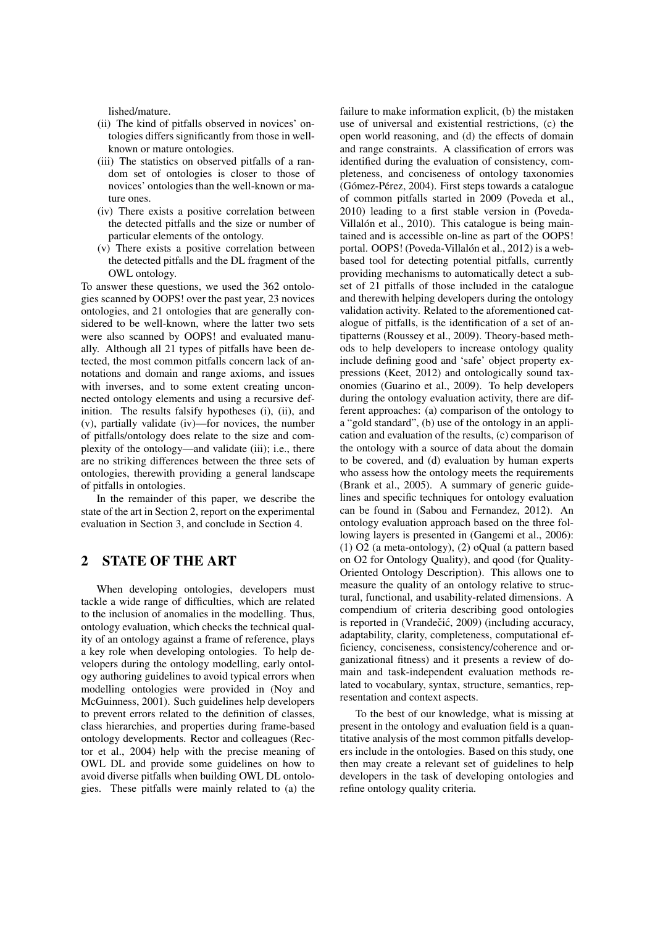lished/mature.

- (ii) The kind of pitfalls observed in novices' ontologies differs significantly from those in wellknown or mature ontologies.
- (iii) The statistics on observed pitfalls of a random set of ontologies is closer to those of novices' ontologies than the well-known or mature ones.
- (iv) There exists a positive correlation between the detected pitfalls and the size or number of particular elements of the ontology.
- (v) There exists a positive correlation between the detected pitfalls and the DL fragment of the OWL ontology.

To answer these questions, we used the 362 ontologies scanned by OOPS! over the past year, 23 novices ontologies, and 21 ontologies that are generally considered to be well-known, where the latter two sets were also scanned by OOPS! and evaluated manually. Although all 21 types of pitfalls have been detected, the most common pitfalls concern lack of annotations and domain and range axioms, and issues with inverses, and to some extent creating unconnected ontology elements and using a recursive definition. The results falsify hypotheses (i), (ii), and (v), partially validate (iv)—for novices, the number of pitfalls/ontology does relate to the size and complexity of the ontology—and validate (iii); i.e., there are no striking differences between the three sets of ontologies, therewith providing a general landscape of pitfalls in ontologies.

In the remainder of this paper, we describe the state of the art in Section 2, report on the experimental evaluation in Section 3, and conclude in Section 4.

# 2 STATE OF THE ART

When developing ontologies, developers must tackle a wide range of difficulties, which are related to the inclusion of anomalies in the modelling. Thus, ontology evaluation, which checks the technical quality of an ontology against a frame of reference, plays a key role when developing ontologies. To help developers during the ontology modelling, early ontology authoring guidelines to avoid typical errors when modelling ontologies were provided in (Noy and McGuinness, 2001). Such guidelines help developers to prevent errors related to the definition of classes, class hierarchies, and properties during frame-based ontology developments. Rector and colleagues (Rector et al., 2004) help with the precise meaning of OWL DL and provide some guidelines on how to avoid diverse pitfalls when building OWL DL ontologies. These pitfalls were mainly related to (a) the

failure to make information explicit, (b) the mistaken use of universal and existential restrictions, (c) the open world reasoning, and (d) the effects of domain and range constraints. A classification of errors was identified during the evaluation of consistency, completeness, and conciseness of ontology taxonomies (Gómez-Pérez, 2004). First steps towards a catalogue of common pitfalls started in 2009 (Poveda et al., 2010) leading to a first stable version in (Poveda-Villalón et al., 2010). This catalogue is being maintained and is accessible on-line as part of the OOPS! portal. OOPS! (Poveda-Villalón et al., 2012) is a webbased tool for detecting potential pitfalls, currently providing mechanisms to automatically detect a subset of 21 pitfalls of those included in the catalogue and therewith helping developers during the ontology validation activity. Related to the aforementioned catalogue of pitfalls, is the identification of a set of antipatterns (Roussey et al., 2009). Theory-based methods to help developers to increase ontology quality include defining good and 'safe' object property expressions (Keet, 2012) and ontologically sound taxonomies (Guarino et al., 2009). To help developers during the ontology evaluation activity, there are different approaches: (a) comparison of the ontology to a "gold standard", (b) use of the ontology in an application and evaluation of the results, (c) comparison of the ontology with a source of data about the domain to be covered, and (d) evaluation by human experts who assess how the ontology meets the requirements (Brank et al., 2005). A summary of generic guidelines and specific techniques for ontology evaluation can be found in (Sabou and Fernandez, 2012). An ontology evaluation approach based on the three following layers is presented in (Gangemi et al., 2006): (1) O2 (a meta-ontology), (2) oQual (a pattern based on O2 for Ontology Quality), and qood (for Quality-Oriented Ontology Description). This allows one to measure the quality of an ontology relative to structural, functional, and usability-related dimensions. A compendium of criteria describing good ontologies is reported in (Vrandečić, 2009) (including accuracy, adaptability, clarity, completeness, computational efficiency, conciseness, consistency/coherence and organizational fitness) and it presents a review of domain and task-independent evaluation methods related to vocabulary, syntax, structure, semantics, representation and context aspects.

To the best of our knowledge, what is missing at present in the ontology and evaluation field is a quantitative analysis of the most common pitfalls developers include in the ontologies. Based on this study, one then may create a relevant set of guidelines to help developers in the task of developing ontologies and refine ontology quality criteria.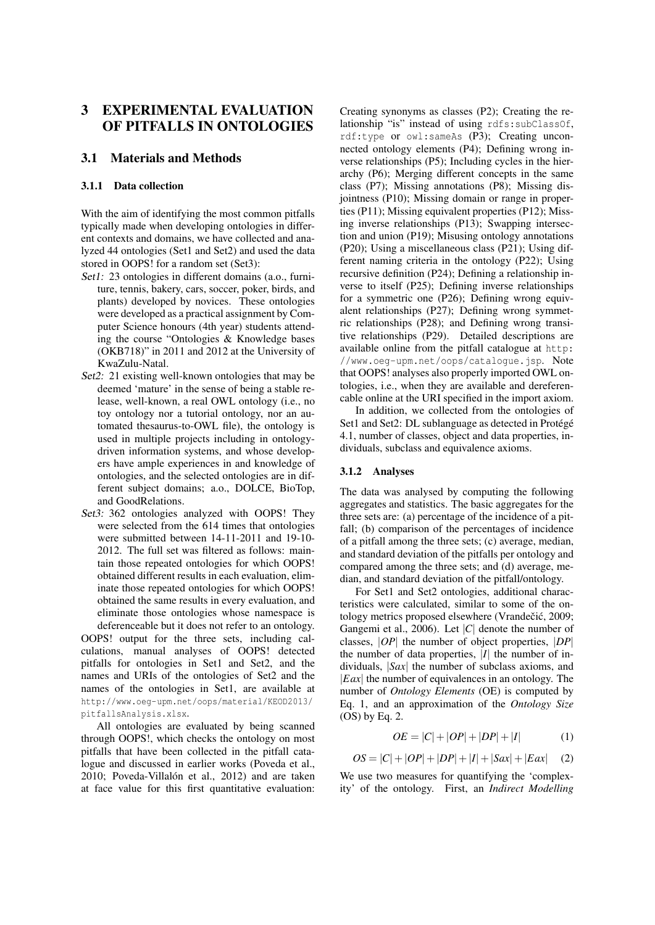# 3 EXPERIMENTAL EVALUATION OF PITFALLS IN ONTOLOGIES

## 3.1 Materials and Methods

## 3.1.1 Data collection

With the aim of identifying the most common pitfalls typically made when developing ontologies in different contexts and domains, we have collected and analyzed 44 ontologies (Set1 and Set2) and used the data stored in OOPS! for a random set (Set3):

- Set1: 23 ontologies in different domains (a.o., furniture, tennis, bakery, cars, soccer, poker, birds, and plants) developed by novices. These ontologies were developed as a practical assignment by Computer Science honours (4th year) students attending the course "Ontologies & Knowledge bases (OKB718)" in 2011 and 2012 at the University of KwaZulu-Natal.
- Set2: 21 existing well-known ontologies that may be deemed 'mature' in the sense of being a stable release, well-known, a real OWL ontology (i.e., no toy ontology nor a tutorial ontology, nor an automated thesaurus-to-OWL file), the ontology is used in multiple projects including in ontologydriven information systems, and whose developers have ample experiences in and knowledge of ontologies, and the selected ontologies are in different subject domains; a.o., DOLCE, BioTop, and GoodRelations.
- Set3: 362 ontologies analyzed with OOPS! They were selected from the 614 times that ontologies were submitted between 14-11-2011 and 19-10- 2012. The full set was filtered as follows: maintain those repeated ontologies for which OOPS! obtained different results in each evaluation, eliminate those repeated ontologies for which OOPS! obtained the same results in every evaluation, and eliminate those ontologies whose namespace is

deferenceable but it does not refer to an ontology. OOPS! output for the three sets, including calculations, manual analyses of OOPS! detected pitfalls for ontologies in Set1 and Set2, and the names and URIs of the ontologies of Set2 and the names of the ontologies in Set1, are available at http://www.oeg-upm.net/oops/material/KEOD2013/ pitfallsAnalysis.xlsx.

All ontologies are evaluated by being scanned through OOPS!, which checks the ontology on most pitfalls that have been collected in the pitfall catalogue and discussed in earlier works (Poveda et al., 2010; Poveda-Villalón et al., 2012) and are taken at face value for this first quantitative evaluation:

Creating synonyms as classes (P2); Creating the relationship "is" instead of using rdfs:subClassOf, rdf:type or owl:sameAs (P3); Creating unconnected ontology elements (P4); Defining wrong inverse relationships (P5); Including cycles in the hierarchy (P6); Merging different concepts in the same class (P7); Missing annotations (P8); Missing disjointness (P10); Missing domain or range in properties (P11); Missing equivalent properties (P12); Missing inverse relationships (P13); Swapping intersection and union (P19); Misusing ontology annotations (P20); Using a miscellaneous class (P21); Using different naming criteria in the ontology (P22); Using recursive definition (P24); Defining a relationship inverse to itself (P25); Defining inverse relationships for a symmetric one (P26); Defining wrong equivalent relationships (P27); Defining wrong symmetric relationships (P28); and Defining wrong transitive relationships (P29). Detailed descriptions are available online from the pitfall catalogue at http: //www.oeg-upm.net/oops/catalogue.jsp. Note that OOPS! analyses also properly imported OWL ontologies, i.e., when they are available and dereferencable online at the URI specified in the import axiom.

In addition, we collected from the ontologies of Set1 and Set2: DL sublanguage as detected in Protégé 4.1, number of classes, object and data properties, individuals, subclass and equivalence axioms.

## 3.1.2 Analyses

The data was analysed by computing the following aggregates and statistics. The basic aggregates for the three sets are: (a) percentage of the incidence of a pitfall; (b) comparison of the percentages of incidence of a pitfall among the three sets; (c) average, median, and standard deviation of the pitfalls per ontology and compared among the three sets; and (d) average, median, and standard deviation of the pitfall/ontology.

For Set1 and Set2 ontologies, additional characteristics were calculated, similar to some of the ontology metrics proposed elsewhere (Vrandečić, 2009; Gangemi et al., 2006). Let |*C*| denote the number of classes, |*OP*| the number of object properties, |*DP*| the number of data properties,  $|I|$  the number of individuals, |*Sax*| the number of subclass axioms, and |*Eax*| the number of equivalences in an ontology. The number of *Ontology Elements* (OE) is computed by Eq. 1, and an approximation of the *Ontology Size* (OS) by Eq. 2.

$$
OE = |C| + |OP| + |DP| + |I|
$$
 (1)

$$
OS = |C| + |OP| + |DP| + |I| + |Sax| + |Eax| \quad (2)
$$

We use two measures for quantifying the 'complexity' of the ontology. First, an *Indirect Modelling*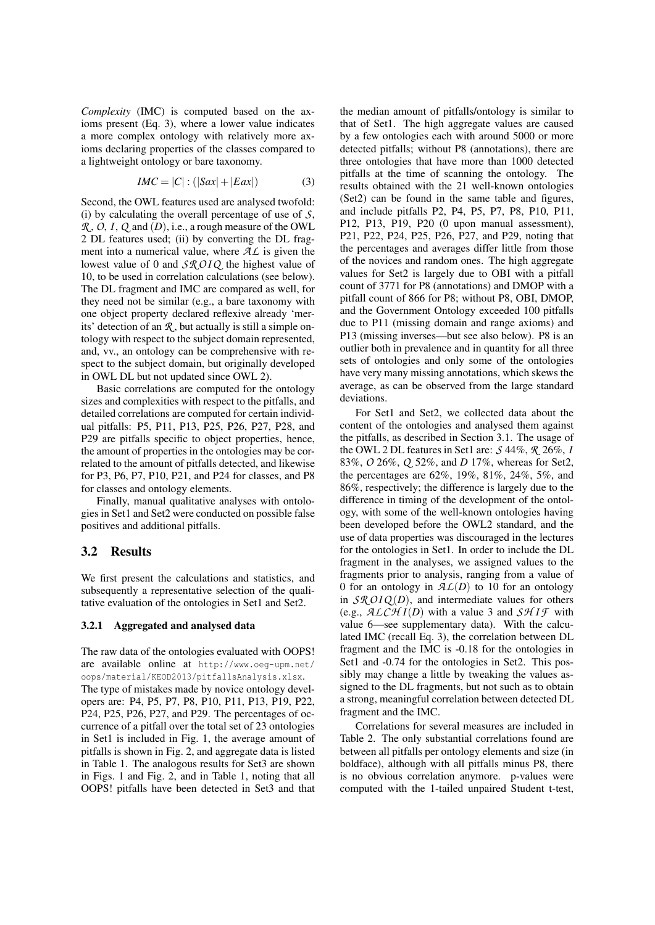*Complexity* (IMC) is computed based on the axioms present (Eq. 3), where a lower value indicates a more complex ontology with relatively more axioms declaring properties of the classes compared to a lightweight ontology or bare taxonomy.

$$
IMC = |C| : (|Sax| + |Eax|)
$$
 (3)

Second, the OWL features used are analysed twofold: (i) by calculating the overall percentage of use of *S*, *R* , *O*,*I*, *Q* and (*D*), i.e., a rough measure of the OWL 2 DL features used; (ii) by converting the DL fragment into a numerical value, where *AL* is given the lowest value of 0 and *SR OI Q* the highest value of 10, to be used in correlation calculations (see below). The DL fragment and IMC are compared as well, for they need not be similar (e.g., a bare taxonomy with one object property declared reflexive already 'merits' detection of an *R* , but actually is still a simple ontology with respect to the subject domain represented, and, vv., an ontology can be comprehensive with respect to the subject domain, but originally developed in OWL DL but not updated since OWL 2).

Basic correlations are computed for the ontology sizes and complexities with respect to the pitfalls, and detailed correlations are computed for certain individual pitfalls: P5, P11, P13, P25, P26, P27, P28, and P29 are pitfalls specific to object properties, hence, the amount of properties in the ontologies may be correlated to the amount of pitfalls detected, and likewise for P3, P6, P7, P10, P21, and P24 for classes, and P8 for classes and ontology elements.

Finally, manual qualitative analyses with ontologies in Set1 and Set2 were conducted on possible false positives and additional pitfalls.

## 3.2 Results

We first present the calculations and statistics, and subsequently a representative selection of the qualitative evaluation of the ontologies in Set1 and Set2.

#### 3.2.1 Aggregated and analysed data

The raw data of the ontologies evaluated with OOPS! are available online at http://www.oeg-upm.net/ oops/material/KEOD2013/pitfallsAnalysis.xlsx. The type of mistakes made by novice ontology developers are: P4, P5, P7, P8, P10, P11, P13, P19, P22, P24, P25, P26, P27, and P29. The percentages of occurrence of a pitfall over the total set of 23 ontologies in Set1 is included in Fig. 1, the average amount of pitfalls is shown in Fig. 2, and aggregate data is listed in Table 1. The analogous results for Set3 are shown in Figs. 1 and Fig. 2, and in Table 1, noting that all OOPS! pitfalls have been detected in Set3 and that

the median amount of pitfalls/ontology is similar to that of Set1. The high aggregate values are caused by a few ontologies each with around 5000 or more detected pitfalls; without P8 (annotations), there are three ontologies that have more than 1000 detected pitfalls at the time of scanning the ontology. The results obtained with the 21 well-known ontologies (Set2) can be found in the same table and figures, and include pitfalls P2, P4, P5, P7, P8, P10, P11, P12, P13, P19, P20 (0 upon manual assessment), P21, P22, P24, P25, P26, P27, and P29, noting that the percentages and averages differ little from those of the novices and random ones. The high aggregate values for Set2 is largely due to OBI with a pitfall count of 3771 for P8 (annotations) and DMOP with a pitfall count of 866 for P8; without P8, OBI, DMOP, and the Government Ontology exceeded 100 pitfalls due to P11 (missing domain and range axioms) and P13 (missing inverses—but see also below). P8 is an outlier both in prevalence and in quantity for all three sets of ontologies and only some of the ontologies have very many missing annotations, which skews the average, as can be observed from the large standard deviations.

For Set1 and Set2, we collected data about the content of the ontologies and analysed them against the pitfalls, as described in Section 3.1. The usage of the OWL 2 DL features in Set1 are: *S* 44%, *R* 26%, *I* 83%, *O* 26%, *Q* 52%, and *D* 17%, whereas for Set2, the percentages are 62%, 19%, 81%, 24%, 5%, and 86%, respectively; the difference is largely due to the difference in timing of the development of the ontology, with some of the well-known ontologies having been developed before the OWL2 standard, and the use of data properties was discouraged in the lectures for the ontologies in Set1. In order to include the DL fragment in the analyses, we assigned values to the fragments prior to analysis, ranging from a value of 0 for an ontology in  $AL(D)$  to 10 for an ontology in  $\mathcal{SRO}IQ(D)$ , and intermediate values for others (e.g.,  $ALCHI(D)$  with a value 3 and  $SHIF$  with value 6—see supplementary data). With the calculated IMC (recall Eq. 3), the correlation between DL fragment and the IMC is -0.18 for the ontologies in Set1 and -0.74 for the ontologies in Set2. This possibly may change a little by tweaking the values assigned to the DL fragments, but not such as to obtain a strong, meaningful correlation between detected DL fragment and the IMC.

Correlations for several measures are included in Table 2. The only substantial correlations found are between all pitfalls per ontology elements and size (in boldface), although with all pitfalls minus P8, there is no obvious correlation anymore. p-values were computed with the 1-tailed unpaired Student t-test,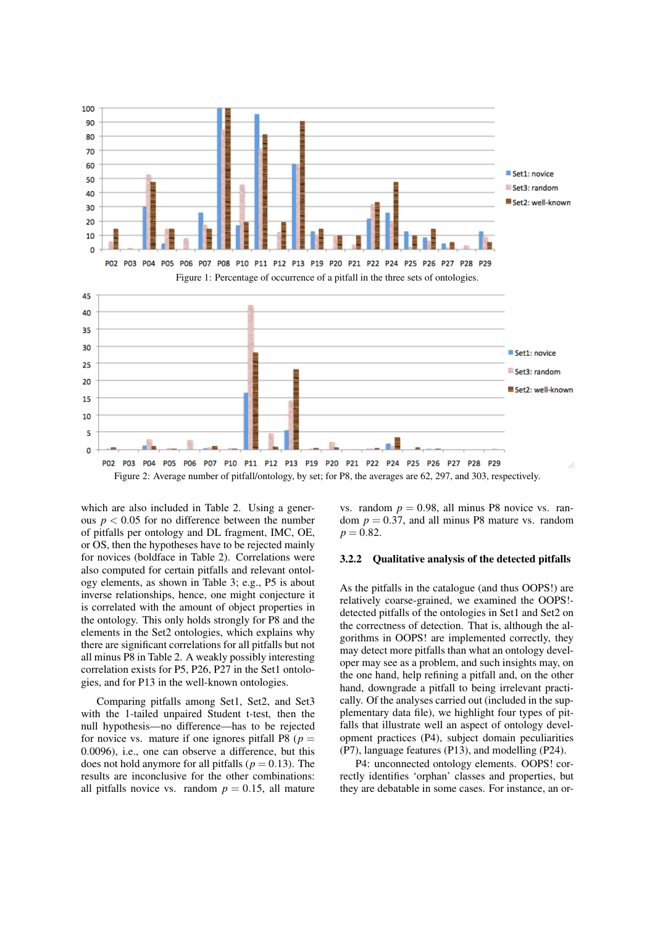

Figure 2: Average number of pitfall/ontology, by set; for P8, the averages are 62, 297, and 303, respectively.

which are also included in Table 2. Using a generous  $p < 0.05$  for no difference between the number of pitfalls per ontology and DL fragment, IMC, OE, or OS, then the hypotheses have to be rejected mainly for novices (boldface in Table 2). Correlations were also computed for certain pitfalls and relevant ontology elements, as shown in Table 3; e.g., P5 is about inverse relationships, hence, one might conjecture it is correlated with the amount of object properties in the ontology. This only holds strongly for P8 and the elements in the Set2 ontologies, which explains why there are significant correlations for all pitfalls but not all minus P8 in Table 2. A weakly possibly interesting correlation exists for P5, P26, P27 in the Set1 ontologies, and for P13 in the well-known ontologies.

Comparing pitfalls among Set1, Set2, and Set3 with the 1-tailed unpaired Student t-test, then the null hypothesis—no difference—has to be rejected for novice vs. mature if one ignores pitfall P8 ( $p =$ 0.0096), i.e., one can observe a difference, but this does not hold anymore for all pitfalls ( $p = 0.13$ ). The results are inconclusive for the other combinations: all pitfalls novice vs. random  $p = 0.15$ , all mature

vs. random  $p = 0.98$ , all minus P8 novice vs. random  $p = 0.37$ , and all minus P8 mature vs. random  $p = 0.82$ .

### 3.2.2 Qualitative analysis of the detected pitfalls

As the pitfalls in the catalogue (and thus OOPS!) are relatively coarse-grained, we examined the OOPS! detected pitfalls of the ontologies in Set1 and Set2 on the correctness of detection. That is, although the algorithms in OOPS! are implemented correctly, they may detect more pitfalls than what an ontology developer may see as a problem, and such insights may, on the one hand, help refining a pitfall and, on the other hand, downgrade a pitfall to being irrelevant practically. Of the analyses carried out (included in the supplementary data file), we highlight four types of pitfalls that illustrate well an aspect of ontology development practices (P4), subject domain peculiarities (P7), language features (P13), and modelling (P24).

P4: unconnected ontology elements. OOPS! correctly identifies 'orphan' classes and properties, but they are debatable in some cases. For instance, an or-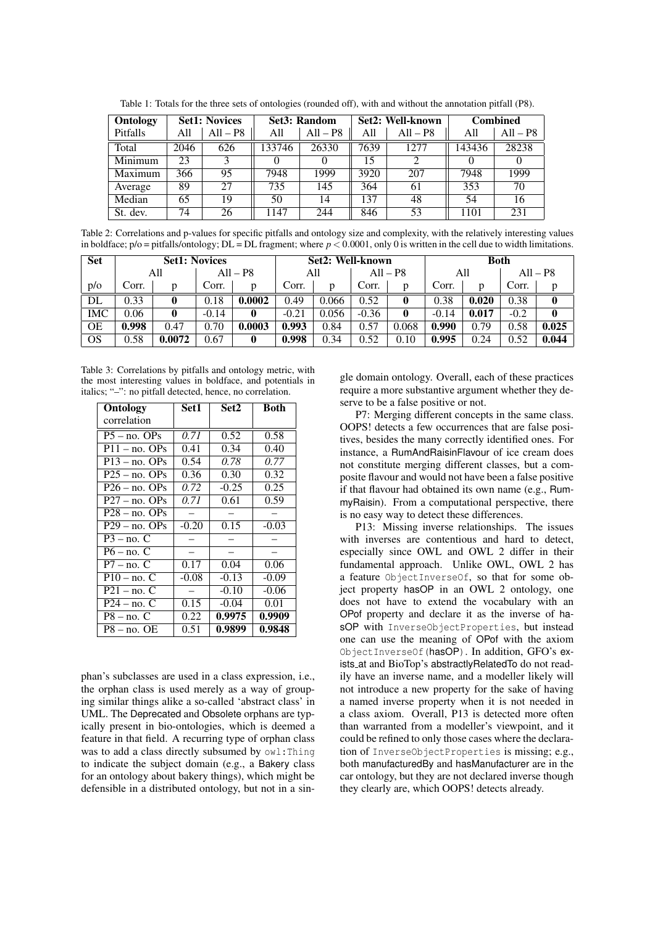| Ontology | <b>Set1: Novices</b> |            | <b>Set3</b> : Random |            |      | Set2: Well-known | <b>Combined</b> |            |  |
|----------|----------------------|------------|----------------------|------------|------|------------------|-----------------|------------|--|
| Pitfalls | A11                  | $All - PS$ | All                  | $All - PS$ | A11  | $All - P8$       | All             | $All - P8$ |  |
| Total    | 2046                 | 626        | 133746               | 26330      | 7639 | 12.77            | 143436          | 28238      |  |
| Minimum  | 23                   | 3          |                      |            | 15   |                  | 0               |            |  |
| Maximum  | 366                  | 95         | 7948                 | 1999       | 3920 | 207              | 7948            | 1999       |  |
| Average  | 89                   | 27         | 735                  | 145        | 364  | 61               | 353             | 70         |  |
| Median   | 65                   | 19         | 50                   | 14         | 137  | 48               | 54              | 16         |  |
| St. dev. | 74                   | 26         | 1147                 | 244        | 846  | 53               | 1101            | 231        |  |

Table 1: Totals for the three sets of ontologies (rounded off), with and without the annotation pitfall (P8).

Table 2: Correlations and p-values for specific pitfalls and ontology size and complexity, with the relatively interesting values in boldface;  $p/\circ$  = pitfalls/ontology; DL = DL fragment; where  $p < 0.0001$ , only 0 is written in the cell due to width limitations.

| <b>Set</b> | <b>Set1: Novices</b> |        |         | Set2: Well-known |         |       |         | <b>Both</b> |         |       |        |            |
|------------|----------------------|--------|---------|------------------|---------|-------|---------|-------------|---------|-------|--------|------------|
|            |                      | All    |         | $All - PS$       | All     |       |         | $All - P8$  | All     |       |        | $All - P8$ |
| p/o        | Corr.                | D      | Corr.   | D                | Corr.   | D     | Corr.   |             | Corr.   | D     | Corr.  | p          |
| DL         | 0.33                 |        | 0.18    | 0.0002           | 0.49    | 0.066 | 0.52    |             | 0.38    | 0.020 | 0.38   |            |
| IMC        | 0.06                 |        | $-0.14$ |                  | $-0.21$ | 0.056 | $-0.36$ |             | $-0.14$ | 0.017 | $-0.2$ | 0          |
| OΕ         | 0.998                | 0.47   | 0.70    | 0.0003           | 0.993   | 0.84  | 0.57    | 0.068       | 0.990   | 0.79  | 0.58   | 0.025      |
| <b>OS</b>  | 0.58                 | 0.0072 | 0.67    | 0                | 0.998   | 0.34  | 0.52    | 0.10        | 0.995   | 0.24  | 0.52   | 0.044      |

Table 3: Correlations by pitfalls and ontology metric, with the most interesting values in boldface, and potentials in italics; "–": no pitfall detected, hence, no correlation.

| Ontology        | Set 1   | Set2    | <b>Both</b> |  |
|-----------------|---------|---------|-------------|--|
| correlation     |         |         |             |  |
| $P5 - no.$ OPs  | 0.71    | 0.52    | 0.58        |  |
| $P11 - no.$ OPs | 0.41    | 0.34    | 0.40        |  |
| $P13 - no.$ OPs | 0.54    | 0.78    | 0.77        |  |
| $P25 - no.$ OPs | 0.36    | 0.30    | 0.32        |  |
| $P26 - no.$ OPs | 0.72    | $-0.25$ | 0.25        |  |
| $P27 - no.$ OPs | 0.71    | 0.61    | 0.59        |  |
| $P28 - no.$ OPs |         |         |             |  |
| $P29 - no.$ OPs | $-0.20$ | 0.15    | $-0.03$     |  |
| $P3 - no. C$    |         |         |             |  |
| $P6 - no$ . C   |         |         |             |  |
| $P7 - no$ . C   | 0.17    | 0.04    | 0.06        |  |
| $P10 - no. C$   | $-0.08$ | $-0.13$ | $-0.09$     |  |
| $P21 - no. C$   |         | $-0.10$ | $-0.06$     |  |
| $P24 - no. C$   | 0.15    | $-0.04$ | 0.01        |  |
| $P8 - no. C$    | 0.22    | 0.9975  | 0.9909      |  |
| $P8 - no$ . OE  | 0.51    | 0.9899  | 0.9848      |  |

phan's subclasses are used in a class expression, i.e., the orphan class is used merely as a way of grouping similar things alike a so-called 'abstract class' in UML. The Deprecated and Obsolete orphans are typically present in bio-ontologies, which is deemed a feature in that field. A recurring type of orphan class was to add a class directly subsumed by  $ow1:Thing$ to indicate the subject domain (e.g., a Bakery class for an ontology about bakery things), which might be defensible in a distributed ontology, but not in a sin-

gle domain ontology. Overall, each of these practices require a more substantive argument whether they deserve to be a false positive or not.

P7: Merging different concepts in the same class. OOPS! detects a few occurrences that are false positives, besides the many correctly identified ones. For instance, a RumAndRaisinFlavour of ice cream does not constitute merging different classes, but a composite flavour and would not have been a false positive if that flavour had obtained its own name (e.g., RummyRaisin). From a computational perspective, there is no easy way to detect these differences.

P13: Missing inverse relationships. The issues with inverses are contentious and hard to detect, especially since OWL and OWL 2 differ in their fundamental approach. Unlike OWL, OWL 2 has a feature ObjectInverseOf, so that for some object property hasOP in an OWL 2 ontology, one does not have to extend the vocabulary with an OPof property and declare it as the inverse of hasOP with InverseObjectProperties, but instead one can use the meaning of OPof with the axiom ObjectInverseOf(hasOP). In addition, GFO's exists at and BioTop's abstractlyRelatedTo do not readily have an inverse name, and a modeller likely will not introduce a new property for the sake of having a named inverse property when it is not needed in a class axiom. Overall, P13 is detected more often than warranted from a modeller's viewpoint, and it could be refined to only those cases where the declaration of InverseObjectProperties is missing; e.g., both manufacturedBy and hasManufacturer are in the car ontology, but they are not declared inverse though they clearly are, which OOPS! detects already.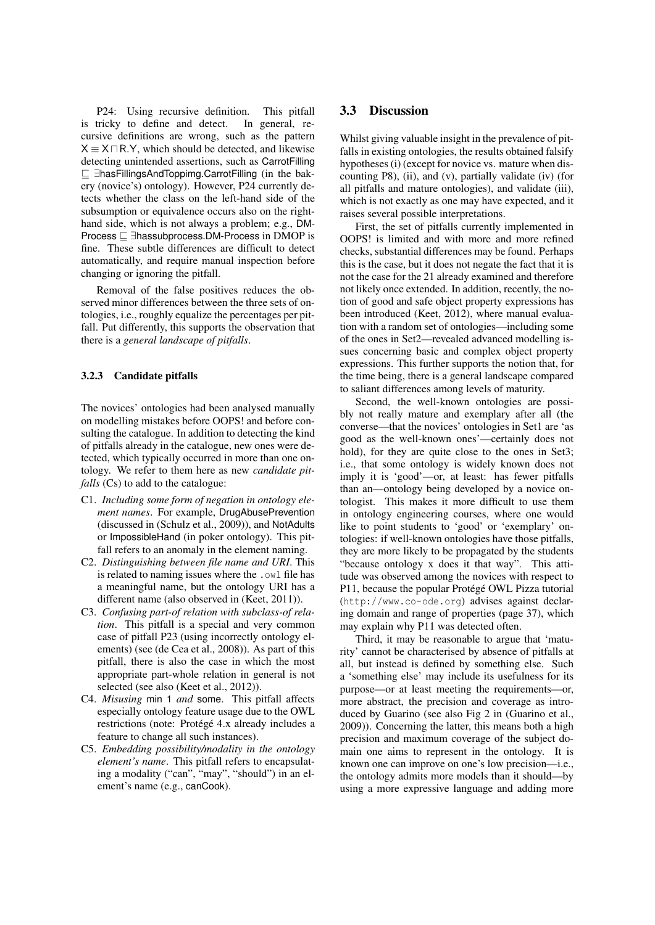P24: Using recursive definition. This pitfall is tricky to define and detect. In general, recursive definitions are wrong, such as the pattern  $X \equiv X \sqcap R.Y$ , which should be detected, and likewise detecting unintended assertions, such as CarrotFilling v ∃hasFillingsAndToppimg.CarrotFilling (in the bakery (novice's) ontology). However, P24 currently detects whether the class on the left-hand side of the subsumption or equivalence occurs also on the righthand side, which is not always a problem; e.g., DM-Process  $\sqsubseteq$  ∃hassubprocess.DM-Process in DMOP is fine. These subtle differences are difficult to detect automatically, and require manual inspection before changing or ignoring the pitfall.

Removal of the false positives reduces the observed minor differences between the three sets of ontologies, i.e., roughly equalize the percentages per pitfall. Put differently, this supports the observation that there is a *general landscape of pitfalls*.

#### 3.2.3 Candidate pitfalls

The novices' ontologies had been analysed manually on modelling mistakes before OOPS! and before consulting the catalogue. In addition to detecting the kind of pitfalls already in the catalogue, new ones were detected, which typically occurred in more than one ontology. We refer to them here as new *candidate pitfalls* (Cs) to add to the catalogue:

- C1. *Including some form of negation in ontology element names*. For example, DrugAbusePrevention (discussed in (Schulz et al., 2009)), and NotAdults or ImpossibleHand (in poker ontology). This pitfall refers to an anomaly in the element naming.
- C2. *Distinguishing between file name and URI*. This is related to naming issues where the .owl file has a meaningful name, but the ontology URI has a different name (also observed in (Keet, 2011)).
- C3. *Confusing part-of relation with subclass-of relation*. This pitfall is a special and very common case of pitfall P23 (using incorrectly ontology elements) (see (de Cea et al., 2008)). As part of this pitfall, there is also the case in which the most appropriate part-whole relation in general is not selected (see also (Keet et al., 2012)).
- C4. *Misusing* min 1 *and* some. This pitfall affects especially ontology feature usage due to the OWL restrictions (note: Protégé 4.x already includes a feature to change all such instances).
- C5. *Embedding possibility/modality in the ontology element's name*. This pitfall refers to encapsulating a modality ("can", "may", "should") in an element's name (e.g., canCook).

### 3.3 Discussion

Whilst giving valuable insight in the prevalence of pitfalls in existing ontologies, the results obtained falsify hypotheses (i) (except for novice vs. mature when discounting P8), (ii), and (v), partially validate (iv) (for all pitfalls and mature ontologies), and validate (iii), which is not exactly as one may have expected, and it raises several possible interpretations.

First, the set of pitfalls currently implemented in OOPS! is limited and with more and more refined checks, substantial differences may be found. Perhaps this is the case, but it does not negate the fact that it is not the case for the 21 already examined and therefore not likely once extended. In addition, recently, the notion of good and safe object property expressions has been introduced (Keet, 2012), where manual evaluation with a random set of ontologies—including some of the ones in Set2—revealed advanced modelling issues concerning basic and complex object property expressions. This further supports the notion that, for the time being, there is a general landscape compared to saliant differences among levels of maturity.

Second, the well-known ontologies are possibly not really mature and exemplary after all (the converse—that the novices' ontologies in Set1 are 'as good as the well-known ones'—certainly does not hold), for they are quite close to the ones in Set3; i.e., that some ontology is widely known does not imply it is 'good'—or, at least: has fewer pitfalls than an—ontology being developed by a novice ontologist. This makes it more difficult to use them in ontology engineering courses, where one would like to point students to 'good' or 'exemplary' ontologies: if well-known ontologies have those pitfalls, they are more likely to be propagated by the students "because ontology x does it that way". This attitude was observed among the novices with respect to P11, because the popular Protégé OWL Pizza tutorial (http://www.co-ode.org) advises against declaring domain and range of properties (page 37), which may explain why P11 was detected often.

Third, it may be reasonable to argue that 'maturity' cannot be characterised by absence of pitfalls at all, but instead is defined by something else. Such a 'something else' may include its usefulness for its purpose—or at least meeting the requirements—or, more abstract, the precision and coverage as introduced by Guarino (see also Fig 2 in (Guarino et al., 2009)). Concerning the latter, this means both a high precision and maximum coverage of the subject domain one aims to represent in the ontology. It is known one can improve on one's low precision—i.e., the ontology admits more models than it should—by using a more expressive language and adding more